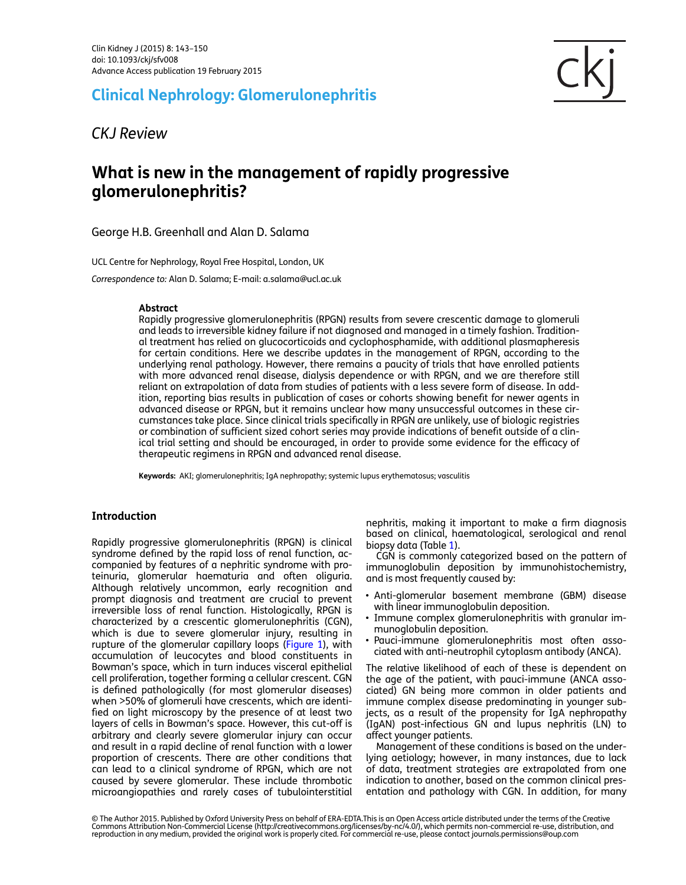# Clinical Nephrology: Glomerulonephritis



CKJ Review

# What is new in the management of rapidly progressive glomerulonephritis?

George H.B. Greenhall and Alan D. Salama

UCL Centre for Nephrology, Royal Free Hospital, London, UK

Correspondence to: Alan D. Salama; E-mail: a.salama@ucl.ac.uk

# Abstract

Rapidly progressive glomerulonephritis (RPGN) results from severe crescentic damage to glomeruli and leads to irreversible kidney failure if not diagnosed and managed in a timely fashion. Traditional treatment has relied on glucocorticoids and cyclophosphamide, with additional plasmapheresis for certain conditions. Here we describe updates in the management of RPGN, according to the underlying renal pathology. However, there remains a paucity of trials that have enrolled patients with more advanced renal disease, dialysis dependence or with RPGN, and we are therefore still reliant on extrapolation of data from studies of patients with a less severe form of disease. In addition, reporting bias results in publication of cases or cohorts showing benefit for newer agents in advanced disease or RPGN, but it remains unclear how many unsuccessful outcomes in these circumstances take place. Since clinical trials specifically in RPGN are unlikely, use of biologic registries or combination of sufficient sized cohort series may provide indications of benefit outside of a clinical trial setting and should be encouraged, in order to provide some evidence for the efficacy of therapeutic regimens in RPGN and advanced renal disease.

Keywords: AKI; glomerulonephritis; IgA nephropathy; systemic lupus erythematosus; vasculitis

# Introduction

Rapidly progressive glomerulonephritis (RPGN) is clinical syndrome defined by the rapid loss of renal function, accompanied by features of a nephritic syndrome with proteinuria, glomerular haematuria and often oliguria. Although relatively uncommon, early recognition and prompt diagnosis and treatment are crucial to prevent irreversible loss of renal function. Histologically, RPGN is characterized by a crescentic glomerulonephritis (CGN), which is due to severe glomerular injury, resulting in rupture of the glomerular capillary loops ([Figure 1](#page-1-0)), with accumulation of leucocytes and blood constituents in Bowman's space, which in turn induces visceral epithelial cell proliferation, together forming a cellular crescent. CGN is defined pathologically (for most glomerular diseases) when >50% of glomeruli have crescents, which are identified on light microscopy by the presence of at least two layers of cells in Bowman's space. However, this cut-off is arbitrary and clearly severe glomerular injury can occur and result in a rapid decline of renal function with a lower proportion of crescents. There are other conditions that can lead to a clinical syndrome of RPGN, which are not caused by severe glomerular. These include thrombotic microangiopathies and rarely cases of tubulointerstitial

nephritis, making it important to make a firm diagnosis based on clinical, haematological, serological and renal biopsy data (Table [1\)](#page-1-0).

CGN is commonly categorized based on the pattern of immunoglobulin deposition by immunohistochemistry, and is most frequently caused by:

- Anti-glomerular basement membrane (GBM) disease with linear immunoglobulin deposition.
- Immune complex glomerulonephritis with granular immunoglobulin deposition.
- Pauci-immune glomerulonephritis most often associated with anti-neutrophil cytoplasm antibody (ANCA).

The relative likelihood of each of these is dependent on the age of the patient, with pauci-immune (ANCA associated) GN being more common in older patients and immune complex disease predominating in younger subjects, as a result of the propensity for IgA nephropathy (IgAN) post-infectious GN and lupus nephritis (LN) to affect younger patients.

Management of these conditions is based on the underlying aetiology; however, in many instances, due to lack of data, treatment strategies are extrapolated from one indication to another, based on the common clinical presentation and pathology with CGN. In addition, for many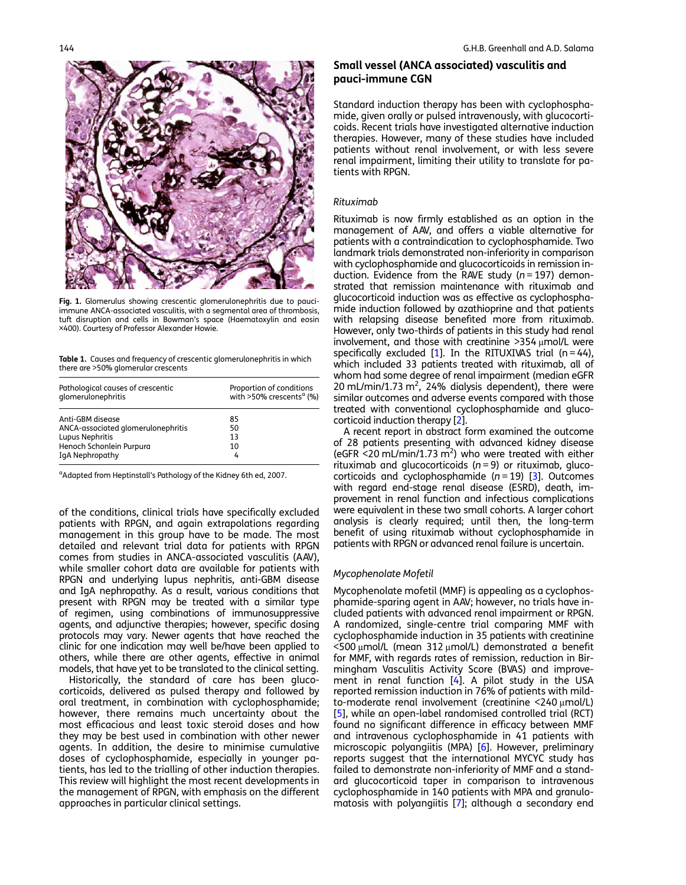<span id="page-1-0"></span>

Fig. 1. Glomerulus showing crescentic glomerulonephritis due to pauciimmune ANCA-associated vasculitis, with a segmental area of thrombosis, tuft disruption and cells in Bowman's space (Haematoxylin and eosin ×400). Courtesy of Professor Alexander Howie.

Table 1. Causes and frequency of crescentic glomerulonephritis in which there are >50% glomerular crescents

| Pathological causes of crescentic  | Proportion of conditions                |
|------------------------------------|-----------------------------------------|
| qlomerulonephritis                 | with $>50\%$ crescents <sup>a</sup> (%) |
| Anti-GBM disease                   | 85                                      |
| ANCA-associated glomerulonephritis | 50                                      |
| Lupus Nephritis                    | 13                                      |
| Henoch Schonlein Purpura           | 10                                      |
| IgA Nephropathy                    | 4                                       |

<sup>a</sup>Adapted from Heptinstall's Pathology of the Kidney 6th ed, 2007.

of the conditions, clinical trials have specifically excluded patients with RPGN, and again extrapolations regarding management in this group have to be made. The most detailed and relevant trial data for patients with RPGN comes from studies in ANCA-associated vasculitis (AAV), while smaller cohort data are available for patients with RPGN and underlying lupus nephritis, anti-GBM disease and IgA nephropathy. As a result, various conditions that present with RPGN may be treated with a similar type of regimen, using combinations of immunosuppressive agents, and adjunctive therapies; however, specific dosing protocols may vary. Newer agents that have reached the clinic for one indication may well be/have been applied to others, while there are other agents, effective in animal models, that have yet to be translated to the clinical setting.

Historically, the standard of care has been glucocorticoids, delivered as pulsed therapy and followed by oral treatment, in combination with cyclophosphamide; however, there remains much uncertainty about the most efficacious and least toxic steroid doses and how they may be best used in combination with other newer agents. In addition, the desire to minimise cumulative doses of cyclophosphamide, especially in younger patients, has led to the trialling of other induction therapies. This review will highlight the most recent developments in the management of RPGN, with emphasis on the different approaches in particular clinical settings.

# Small vessel (ANCA associated) vasculitis and pauci-immune CGN

Standard induction therapy has been with cyclophosphamide, given orally or pulsed intravenously, with glucocorticoids. Recent trials have investigated alternative induction therapies. However, many of these studies have included patients without renal involvement, or with less severe renal impairment, limiting their utility to translate for patients with RPGN.

## Rituximab

Rituximab is now firmly established as an option in the management of AAV, and offers a viable alternative for patients with a contraindication to cyclophosphamide. Two landmark trials demonstrated non-inferiority in comparison with cyclophosphamide and glucocorticoids in remission induction. Evidence from the RAVE study ( $n = 197$ ) demonstrated that remission maintenance with rituximab and glucocorticoid induction was as effective as cyclophosphamide induction followed by azathioprine and that patients with relapsing disease benefited more from rituximab. However, only two-thirds of patients in this study had renal involvement, and those with creatinine >354 μmol/L were specifically excluded [[1\]](#page-5-0). In the RITUXIVAS trial (n = 44), which included 33 patients treated with rituximab, all of whom had some degree of renal impairment (median eGFR 20 mL/min/1.73 m<sup>2</sup>, 24% dialysis dependent), there were similar outcomes and adverse events compared with those treated with conventional cyclophosphamide and glucocorticoid induction therapy [[2](#page-5-0)].

A recent report in abstract form examined the outcome of 28 patients presenting with advanced kidney disease (eGFR  $\leq$  20 mL/min/1.73 m<sup>2</sup>) who were treated with either rituximab and glucocorticoids ( $n = 9$ ) or rituximab, glucocorticoids and cyclophosphamide ( $n = 19$ ) [\[3](#page-5-0)]. Outcomes with regard end-stage renal disease (ESRD), death, improvement in renal function and infectious complications were equivalent in these two small cohorts. A larger cohort analysis is clearly required; until then, the long-term benefit of using rituximab without cyclophosphamide in patients with RPGN or advanced renal failure is uncertain.

## Mycophenolate Mofetil

Mycophenolate mofetil (MMF) is appealing as a cyclophosphamide-sparing agent in AAV; however, no trials have included patients with advanced renal impairment or RPGN. A randomized, single-centre trial comparing MMF with cyclophosphamide induction in 35 patients with creatinine <500 μmol/L (mean 312 μmol/L) demonstrated a benefit for MMF, with regards rates of remission, reduction in Birmingham Vasculitis Activity Score (BVAS) and improvement in renal function  $[4]$  $[4]$ . A pilot study in the USA reported remission induction in 76% of patients with mildto-moderate renal involvement (creatinine <240 μmol/L) [[5\]](#page-6-0), while an open-label randomised controlled trial (RCT) found no significant difference in efficacy between MMF and intravenous cyclophosphamide in 41 patients with microscopic polyangiitis (MPA) [\[6](#page-6-0)]. However, preliminary reports suggest that the international MYCYC study has failed to demonstrate non-inferiority of MMF and a standard glucocorticoid taper in comparison to intravenous cyclophosphamide in 140 patients with MPA and granulomatosis with polyangiitis [\[7](#page-6-0)]; although a secondary end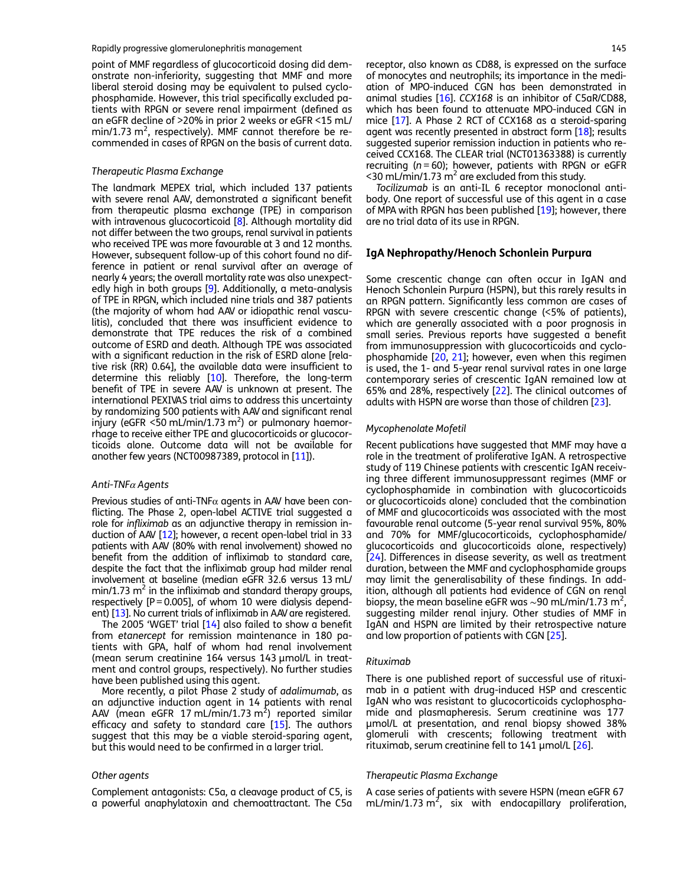#### Rapidly progressive glomerulonephritis management 145

point of MMF regardless of glucocorticoid dosing did demonstrate non-inferiority, suggesting that MMF and more liberal steroid dosing may be equivalent to pulsed cyclophosphamide. However, this trial specifically excluded patients with RPGN or severe renal impairment (defined as an eGFR decline of >20% in prior 2 weeks or eGFR <15 mL/ min/1.73 m<sup>2</sup>, respectively). MMF cannot therefore be recommended in cases of RPGN on the basis of current data.

## Therapeutic Plasma Exchange

The landmark MEPEX trial, which included 137 patients with severe renal AAV, demonstrated a significant benefit from therapeutic plasma exchange (TPE) in comparison with intravenous glucocorticoid [[8\]](#page-6-0). Although mortality did not differ between the two groups, renal survival in patients who received TPE was more favourable at 3 and 12 months. However, subsequent follow-up of this cohort found no difference in patient or renal survival after an average of nearly 4 years; the overall mortality rate was also unexpectedly high in both groups [\[9\]](#page-6-0). Additionally, a meta-analysis of TPE in RPGN, which included nine trials and 387 patients (the majority of whom had AAV or idiopathic renal vasculitis), concluded that there was insufficient evidence to demonstrate that TPE reduces the risk of a combined outcome of ESRD and death. Although TPE was associated with a significant reduction in the risk of ESRD alone [relative risk (RR) 0.64], the available data were insufficient to determine this reliably [[10\]](#page-6-0). Therefore, the long-term benefit of TPE in severe AAV is unknown at present. The international PEXIVAS trial aims to address this uncertainty by randomizing 500 patients with AAV and significant renal  $\frac{1}{2}$ injury (eGFR <50 mL $\overline{\phantom{a}}$ /min/1.73 m<sup>2</sup>) or pulmonary haemorrhage to receive either TPE and glucocorticoids or glucocorticoids alone. Outcome data will not be available for another few years (NCT00987389, protocol in [\[11](#page-6-0)]).

## Anti-TNFα Agents

Previous studies of anti-TNF $\alpha$  agents in AAV have been conflicting. The Phase 2, open-label ACTIVE trial suggested a role for infliximab as an adjunctive therapy in remission induction of AAV [[12](#page-6-0)]; however, a recent open-label trial in 33 patients with AAV (80% with renal involvement) showed no benefit from the addition of infliximab to standard care, despite the fact that the infliximab group had milder renal involvement at baseline (median eGFR 32.6 versus 13 mL/  $min/1.73$  m<sup>2</sup> in the infliximab and standard therapy groups, respectively  $[P = 0.005]$ , of whom 10 were dialysis dependent) [\[13](#page-6-0)]. No current trials of infliximab in AAV are registered.

The 2005 'WGET' trial [[14\]](#page-6-0) also failed to show a benefit from etanercept for remission maintenance in 180 patients with GPA, half of whom had renal involvement (mean serum creatinine 164 versus 143 µmol/L in treatment and control groups, respectively). No further studies have been published using this agent.

More recently, a pilot Phase 2 study of adalimumab, as an adjunctive induction agent in 14 patients with renal AAV (mean eGFR 17 mL/min/1.73 m<sup>2</sup>) reported similar efficacy and safety to standard care [\[15](#page-6-0)]. The authors suggest that this may be a viable steroid-sparing agent, but this would need to be confirmed in a larger trial.

## Other agents

Complement antagonists: C5a, a cleavage product of C5, is a powerful anaphylatoxin and chemoattractant. The C5a receptor, also known as CD88, is expressed on the surface of monocytes and neutrophils; its importance in the mediation of MPO-induced CGN has been demonstrated in animal studies [\[16\]](#page-6-0). CCX168 is an inhibitor of C5aR/CD88, which has been found to attenuate MPO-induced CGN in mice [[17\]](#page-6-0). A Phase 2 RCT of CCX168 as a steroid-sparing agent was recently presented in abstract form [\[18\]](#page-6-0); results suggested superior remission induction in patients who received CCX168. The CLEAR trial (NCT01363388) is currently recruiting ( $n = 60$ ); however, patients with RPGN or eGFR  $<$ 30 mL/min/1.73 m<sup>2</sup> are excluded from this study.

Tocilizumab is an anti-IL 6 receptor monoclonal antibody. One report of successful use of this agent in a case of MPA with RPGN has been published [[19\]](#page-6-0); however, there are no trial data of its use in RPGN.

## IgA Nephropathy/Henoch Schonlein Purpura

Some crescentic change can often occur in IgAN and Henoch Schonlein Purpura (HSPN), but this rarely results in an RPGN pattern. Significantly less common are cases of RPGN with severe crescentic change (<5% of patients), which are generally associated with a poor prognosis in small series. Previous reports have suggested a benefit from immunosuppression with glucocorticoids and cyclophosphamide [\[20](#page-6-0), [21\]](#page-6-0); however, even when this regimen is used, the 1- and 5-year renal survival rates in one large contemporary series of crescentic IgAN remained low at 65% and 28%, respectively [\[22\]](#page-6-0). The clinical outcomes of adults with HSPN are worse than those of children [[23\]](#page-6-0).

## Mycophenolate Mofetil

Recent publications have suggested that MMF may have a role in the treatment of proliferative IgAN. A retrospective study of 119 Chinese patients with crescentic IgAN receiving three different immunosuppressant regimes (MMF or cyclophosphamide in combination with glucocorticoids or glucocorticoids alone) concluded that the combination of MMF and glucocorticoids was associated with the most favourable renal outcome (5-year renal survival 95%, 80% and 70% for MMF/glucocorticoids, cyclophosphamide/ glucocorticoids and glucocorticoids alone, respectively) [[24](#page-6-0)]. Differences in disease severity, as well as treatment duration, between the MMF and cyclophosphamide groups may limit the generalisability of these findings. In addition, although all patients had evidence of CGN on renal biopsy, the mean baseline eGFR was ~90 mL/min/1.73 m<sup>2</sup>, suggesting milder renal injury. Other studies of MMF in IgAN and HSPN are limited by their retrospective nature and low proportion of patients with CGN [\[25](#page-6-0)].

## Rituximab

There is one published report of successful use of rituximab in a patient with drug-induced HSP and crescentic IgAN who was resistant to glucocorticoids cyclophosphamide and plasmapheresis. Serum creatinine was 177 µmol/L at presentation, and renal biopsy showed 38% glomeruli with crescents; following treatment with rituximab, serum creatinine fell to 141 µmol/L [[26\]](#page-6-0).

#### Therapeutic Plasma Exchange

A case series of patients with severe HSPN (mean eGFR 67 mL/min/1.73 m<sup>2</sup>, six with endocapillary proliferation,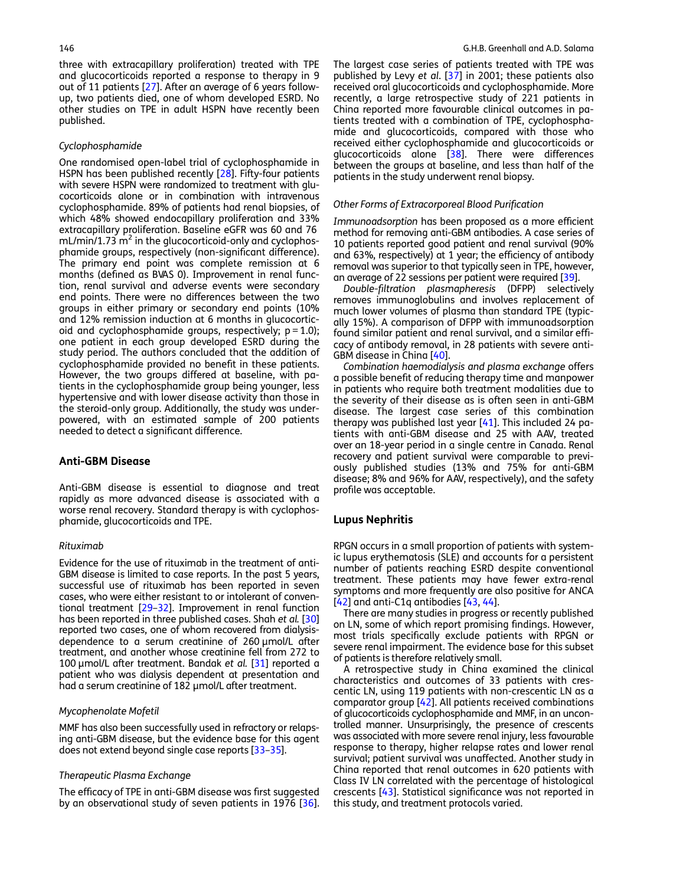three with extracapillary proliferation) treated with TPE and glucocorticoids reported a response to therapy in 9 out of 11 patients [[27\]](#page-6-0). After an average of 6 years followup, two patients died, one of whom developed ESRD. No other studies on TPE in adult HSPN have recently been published.

## Cyclophosphamide

One randomised open-label trial of cyclophosphamide in HSPN has been published recently [\[28\]](#page-6-0). Fifty-four patients with severe HSPN were randomized to treatment with glucocorticoids alone or in combination with intravenous cyclophosphamide. 89% of patients had renal biopsies, of which 48% showed endocapillary proliferation and 33% extracapillary proliferation. Baseline eGFR was 60 and 76  $mL/min/1.73$  m<sup>2</sup> in the glucocorticoid-only and cyclophosphamide groups, respectively (non-significant difference). The primary end point was complete remission at 6 months (defined as BVAS 0). Improvement in renal function, renal survival and adverse events were secondary end points. There were no differences between the two groups in either primary or secondary end points (10% and 12% remission induction at 6 months in glucocorticoid and cyclophosphamide groups, respectively;  $p = 1.0$ ); one patient in each group developed ESRD during the study period. The authors concluded that the addition of cyclophosphamide provided no benefit in these patients. However, the two groups differed at baseline, with patients in the cyclophosphamide group being younger, less hypertensive and with lower disease activity than those in the steroid-only group. Additionally, the study was underpowered, with an estimated sample of 200 patients needed to detect a significant difference.

## Anti-GBM Disease

Anti-GBM disease is essential to diagnose and treat rapidly as more advanced disease is associated with a worse renal recovery. Standard therapy is with cyclophosphamide, glucocorticoids and TPE.

#### Rituximab

Evidence for the use of rituximab in the treatment of anti-GBM disease is limited to case reports. In the past 5 years, successful use of rituximab has been reported in seven cases, who were either resistant to or intolerant of conventional treatment [\[29](#page-6-0)–[32\]](#page-6-0). Improvement in renal function has been reported in three published cases. Shah et al. [\[30](#page-6-0)] reported two cases, one of whom recovered from dialysisdependence to a serum creatinine of 260 µmol/L after treatment, and another whose creatinine fell from 272 to 100  $\mu$ mol/L after treatment. Bandak et al. [\[31](#page-6-0)] reported a patient who was dialysis dependent at presentation and had a serum creatinine of 182 µmol/L after treatment.

## Mycophenolate Mofetil

MMF has also been successfully used in refractory or relapsing anti-GBM disease, but the evidence base for this agent does not extend beyond single case reports [[33](#page-6-0)–[35](#page-6-0)].

## Therapeutic Plasma Exchange

The efficacy of TPE in anti-GBM disease was first suggested by an observational study of seven patients in 1976 [\[36](#page-6-0)]. The largest case series of patients treated with TPE was published by Levy et al. [\[37](#page-6-0)] in 2001; these patients also received oral glucocorticoids and cyclophosphamide. More recently, a large retrospective study of 221 patients in China reported more favourable clinical outcomes in patients treated with a combination of TPE, cyclophosphamide and glucocorticoids, compared with those who received either cyclophosphamide and glucocorticoids or glucocorticoids alone  $\begin{bmatrix} 38 \end{bmatrix}$ . There were differences between the groups at baseline, and less than half of the patients in the study underwent renal biopsy.

## Other Forms of Extracorporeal Blood Purification

Immunoadsorption has been proposed as a more efficient method for removing anti-GBM antibodies. A case series of 10 patients reported good patient and renal survival (90% and 63%, respectively) at 1 year; the efficiency of antibody removal was superior to that typically seen in TPE, however, an average of 22 sessions per patient were required [\[39](#page-6-0)].

Double-filtration plasmapheresis (DFPP) selectively removes immunoglobulins and involves replacement of much lower volumes of plasma than standard TPE (typically 15%). A comparison of DFPP with immunoadsorption found similar patient and renal survival, and a similar efficacy of antibody removal, in 28 patients with severe anti-GBM disease in China [\[40](#page-6-0)].

Combination haemodialysis and plasma exchange offers a possible benefit of reducing therapy time and manpower in patients who require both treatment modalities due to the severity of their disease as is often seen in anti-GBM disease. The largest case series of this combination therapy was published last year [[41](#page-6-0)]. This included 24 patients with anti-GBM disease and 25 with AAV, treated over an 18-year period in a single centre in Canada. Renal recovery and patient survival were comparable to previously published studies (13% and 75% for anti-GBM disease; 8% and 96% for AAV, respectively), and the safety profile was acceptable.

## Lupus Nephritis

RPGN occurs in a small proportion of patients with systemic lupus erythematosis (SLE) and accounts for a persistent number of patients reaching ESRD despite conventional treatment. These patients may have fewer extra-renal symptoms and more frequently are also positive for ANCA  $[42]$  $[42]$  and anti-C1q antibodies  $[43, 44]$  $[43, 44]$  $[43, 44]$  $[43, 44]$  $[43, 44]$ .

There are many studies in progress or recently published on LN, some of which report promising findings. However, most trials specifically exclude patients with RPGN or severe renal impairment. The evidence base for this subset of patients is therefore relatively small.

A retrospective study in China examined the clinical characteristics and outcomes of 33 patients with crescentic LN, using 119 patients with non-crescentic LN as a comparator group [\[42](#page-7-0)]. All patients received combinations of glucocorticoids cyclophosphamide and MMF, in an uncontrolled manner. Unsurprisingly, the presence of crescents was associated with more severe renal injury, less favourable response to therapy, higher relapse rates and lower renal survival; patient survival was unaffected. Another study in China reported that renal outcomes in 620 patients with Class IV LN correlated with the percentage of histological crescents [\[43](#page-7-0)]. Statistical significance was not reported in this study, and treatment protocols varied.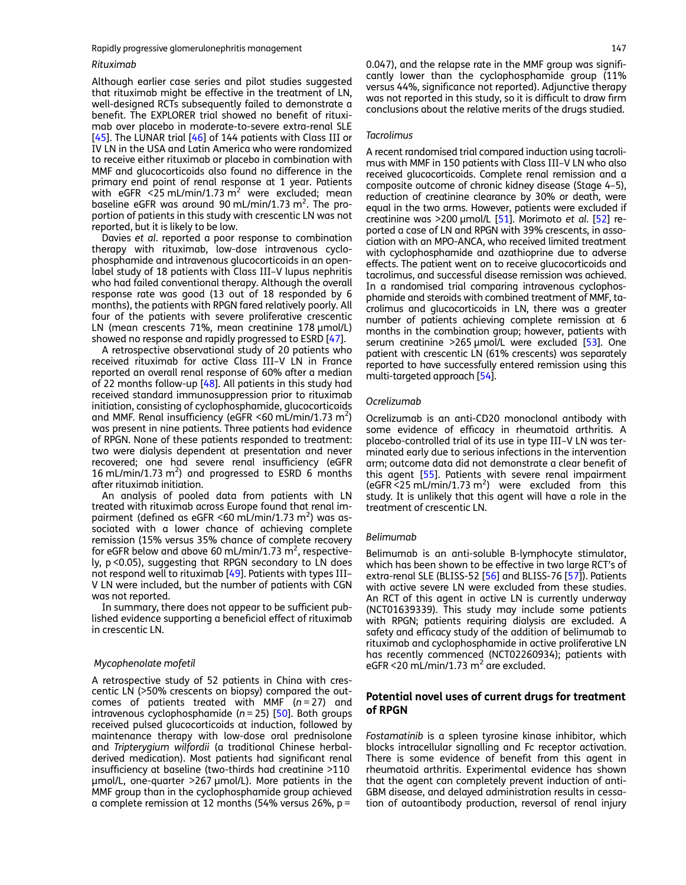Rapidly progressive glomerulonephritis management 147

## Rituximab

Although earlier case series and pilot studies suggested that rituximab might be effective in the treatment of LN, well-designed RCTs subsequently failed to demonstrate a benefit. The EXPLORER trial showed no benefit of rituximab over placebo in moderate-to-severe extra-renal SLE [[45](#page-7-0)]. The LUNAR trial [\[46](#page-7-0)] of 144 patients with Class III or IV LN in the USA and Latin America who were randomized to receive either rituximab or placebo in combination with MMF and glucocorticoids also found no difference in the primary end point of renal response at 1 year. Patients with eGFR  $\leq$ 25 mL/min/1.73 m<sup>2</sup> were excluded; mean baseline eGFR was around 90 mL/min/1.73 m<sup>2</sup>. The proportion of patients in this study with crescentic LN was not reported, but it is likely to be low.

Davies et al. reported a poor response to combination therapy with rituximab, low-dose intravenous cyclophosphamide and intravenous glucocorticoids in an openlabel study of 18 patients with Class III–V lupus nephritis who had failed conventional therapy. Although the overall response rate was good (13 out of 18 responded by 6 months), the patients with RPGN fared relatively poorly. All four of the patients with severe proliferative crescentic LN (mean crescents 71%, mean creatinine 178 µmol/L) showed no response and rapidly progressed to ESRD [[47](#page-7-0)].

A retrospective observational study of 20 patients who received rituximab for active Class III–V LN in France reported an overall renal response of 60% after a median of 22 months follow-up [[48\]](#page-7-0). All patients in this study had received standard immunosuppression prior to rituximab initiation, consisting of cyclophosphamide, glucocorticoids and MMF. Renal insufficiency (eGFR <60 mL/min/1.73 m<sup>2</sup>) was present in nine patients. Three patients had evidence of RPGN. None of these patients responded to treatment: two were dialysis dependent at presentation and never recovered; one had severe renal insufficiency (eGFR 16 mL/min/1.73 m<sup>2</sup>) and progressed to ESRD 6 months after rituximab initiation.

An analysis of pooled data from patients with LN treated with rituximab across Europe found that renal impairment (defined as eGFR <60 mL/min/1.73 m<sup>2</sup>) was associated with a lower chance of achieving complete remission (15% versus 35% chance of complete recovery for eGFR below and above 60 mL/min/1.73 m<sup>2</sup>, respectively, p <0.05), suggesting that RPGN secondary to LN does not respond well to rituximab [[49\]](#page-7-0). Patients with types III– V LN were included, but the number of patients with CGN was not reported.

In summary, there does not appear to be sufficient published evidence supporting a beneficial effect of rituximab in crescentic LN.

## Mycophenolate mofetil

A retrospective study of 52 patients in China with crescentic LN (>50% crescents on biopsy) compared the outcomes of patients treated with MMF  $(n=27)$  and intravenous cyclophosphamide ( $n = 25$ ) [[50\]](#page-7-0). Both groups received pulsed glucocorticoids at induction, followed by maintenance therapy with low-dose oral prednisolone and Tripterygium wilfordii (a traditional Chinese herbalderived medication). Most patients had significant renal insufficiency at baseline (two-thirds had creatinine >110 µmol/L, one-quarter >267 µmol/L). More patients in the MMF group than in the cyclophosphamide group achieved a complete remission at 12 months (54% versus 26%, p =

0.047), and the relapse rate in the MMF group was significantly lower than the cyclophosphamide group (11% versus 44%, significance not reported). Adjunctive therapy was not reported in this study, so it is difficult to draw firm conclusions about the relative merits of the drugs studied.

#### **Tacrolimus**

A recent randomised trial compared induction using tacrolimus with MMF in 150 patients with Class III–V LN who also received glucocorticoids. Complete renal remission and a composite outcome of chronic kidney disease (Stage 4–5), reduction of creatinine clearance by 30% or death, were equal in the two arms. However, patients were excluded if creatinine was >200 µmol/L [[51\]](#page-7-0). Morimoto et al. [\[52](#page-7-0)] reported a case of LN and RPGN with 39% crescents, in association with an MPO-ANCA, who received limited treatment with cyclophosphamide and azathioprine due to adverse effects. The patient went on to receive glucocorticoids and tacrolimus, and successful disease remission was achieved. In a randomised trial comparing intravenous cyclophosphamide and steroids with combined treatment of MMF, tacrolimus and glucocorticoids in LN, there was a greater number of patients achieving complete remission at 6 months in the combination group; however, patients with serum creatinine  $>265 \mu$ mol/L were excluded [\[53](#page-7-0)]. One patient with crescentic LN (61% crescents) was separately reported to have successfully entered remission using this multi-targeted approach [[54](#page-7-0)].

## Ocrelizumab

Ocrelizumab is an anti-CD20 monoclonal antibody with some evidence of efficacy in rheumatoid arthritis. A placebo-controlled trial of its use in type III–V LN was terminated early due to serious infections in the intervention arm; outcome data did not demonstrate a clear benefit of this agent [[55](#page-7-0)]. Patients with severe renal impairment (eGFR <25 mL/min/1.73 m<sup>2</sup>) were excluded from this study. It is unlikely that this agent will have a role in the treatment of crescentic LN.

## Belimumab

Belimumab is an anti-soluble B-lymphocyte stimulator, which has been shown to be effective in two large RCT's of extra-renal SLE (BLISS-52 [\[56](#page-7-0)] and BLISS-76 [\[57](#page-7-0)]). Patients with active severe LN were excluded from these studies. An RCT of this agent in active LN is currently underway (NCT01639339). This study may include some patients with RPGN; patients requiring dialysis are excluded. A safety and efficacy study of the addition of belimumab to rituximab and cyclophosphamide in active proliferative LN has recently commenced (NCT02260934); patients with eGFR <20  $\text{mL/min}/1.73 \text{ m}^2$  are excluded.

# Potential novel uses of current drugs for treatment of RPGN

Fostamatinib is a spleen tyrosine kinase inhibitor, which blocks intracellular signalling and Fc receptor activation. There is some evidence of benefit from this agent in rheumatoid arthritis. Experimental evidence has shown that the agent can completely prevent induction of anti-GBM disease, and delayed administration results in cessation of autoantibody production, reversal of renal injury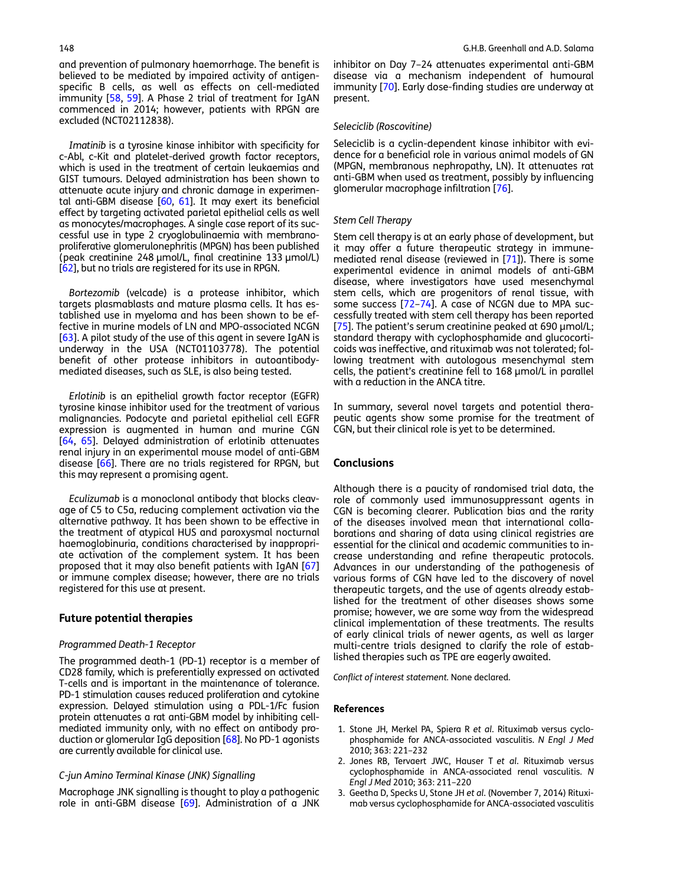<span id="page-5-0"></span>and prevention of pulmonary haemorrhage. The benefit is believed to be mediated by impaired activity of antigenspecific B cells, as well as effects on cell-mediated immunity [[58,](#page-7-0) [59](#page-7-0)]. A Phase 2 trial of treatment for IgAN commenced in 2014; however, patients with RPGN are excluded (NCT02112838).

Imatinib is a tyrosine kinase inhibitor with specificity for c-Abl, c-Kit and platelet-derived growth factor receptors, which is used in the treatment of certain leukaemias and GIST tumours. Delayed administration has been shown to attenuate acute injury and chronic damage in experimental anti-GBM disease [[60,](#page-7-0) [61\]](#page-7-0). It may exert its beneficial effect by targeting activated parietal epithelial cells as well as monocytes/macrophages. A single case report of its successful use in type 2 cryoglobulinaemia with membranoproliferative glomerulonephritis (MPGN) has been published (peak creatinine 248 µmol/L, final creatinine 133 µmol/L) [[62\]](#page-7-0), but no trials are registered for its use in RPGN.

Bortezomib (velcade) is a protease inhibitor, which targets plasmablasts and mature plasma cells. It has established use in myeloma and has been shown to be effective in murine models of LN and MPO-associated NCGN  $[63]$  $[63]$ . A pilot study of the use of this agent in severe IgAN is underway in the USA (NCT01103778). The potential benefit of other protease inhibitors in autoantibodymediated diseases, such as SLE, is also being tested.

Erlotinib is an epithelial growth factor receptor (EGFR) tyrosine kinase inhibitor used for the treatment of various malignancies. Podocyte and parietal epithelial cell EGFR expression is augmented in human and murine CGN [[64,](#page-7-0) [65\]](#page-7-0). Delayed administration of erlotinib attenuates renal injury in an experimental mouse model of anti-GBM disease [\[66](#page-7-0)]. There are no trials registered for RPGN, but this may represent a promising agent.

Eculizumab is a monoclonal antibody that blocks cleavage of C5 to C5a, reducing complement activation via the alternative pathway. It has been shown to be effective in the treatment of atypical HUS and paroxysmal nocturnal haemoglobinuria, conditions characterised by inappropriate activation of the complement system. It has been proposed that it may also benefit patients with IgAN [\[67](#page-7-0)] or immune complex disease; however, there are no trials registered for this use at present.

## Future potential therapies

# Programmed Death-1 Receptor

The programmed death-1 (PD-1) receptor is a member of CD28 family, which is preferentially expressed on activated T-cells and is important in the maintenance of tolerance. PD-1 stimulation causes reduced proliferation and cytokine expression. Delayed stimulation using a PDL-1/Fc fusion protein attenuates a rat anti-GBM model by inhibiting cellmediated immunity only, with no effect on antibody production or glomerular IgG deposition [[68\]](#page-7-0). No PD-1 agonists are currently available for clinical use.

## C-jun Amino Terminal Kinase (JNK) Signalling

Macrophage JNK signalling is thought to play a pathogenic role in anti-GBM disease [[69\]](#page-7-0). Administration of a JNK inhibitor on Day 7–24 attenuates experimental anti-GBM disease via a mechanism independent of humoural immunity [[70\]](#page-7-0). Early dose-finding studies are underway at present.

## Seleciclib (Roscovitine)

Seleciclib is a cyclin-dependent kinase inhibitor with evidence for a beneficial role in various animal models of GN (MPGN, membranous nephropathy, LN). It attenuates rat anti-GBM when used as treatment, possibly by influencing glomerular macrophage infiltration [\[76](#page-7-0)].

#### Stem Cell Therapy

Stem cell therapy is at an early phase of development, but it may offer a future therapeutic strategy in immunemediated renal disease (reviewed in [[71\]](#page-7-0)). There is some experimental evidence in animal models of anti-GBM disease, where investigators have used mesenchymal stem cells, which are progenitors of renal tissue, with some success [\[72](#page-7-0)–[74](#page-7-0)]. A case of NCGN due to MPA successfully treated with stem cell therapy has been reported [[75\]](#page-7-0). The patient's serum creatinine peaked at 690  $\mu$ mol/L; standard therapy with cyclophosphamide and glucocorticoids was ineffective, and rituximab was not tolerated; following treatment with autologous mesenchymal stem cells, the patient's creatinine fell to 168 µmol/L in parallel with a reduction in the ANCA titre.

In summary, several novel targets and potential therapeutic agents show some promise for the treatment of CGN, but their clinical role is yet to be determined.

# **Conclusions**

Although there is a paucity of randomised trial data, the role of commonly used immunosuppressant agents in CGN is becoming clearer. Publication bias and the rarity of the diseases involved mean that international collaborations and sharing of data using clinical registries are essential for the clinical and academic communities to increase understanding and refine therapeutic protocols. Advances in our understanding of the pathogenesis of various forms of CGN have led to the discovery of novel therapeutic targets, and the use of agents already established for the treatment of other diseases shows some promise; however, we are some way from the widespread clinical implementation of these treatments. The results of early clinical trials of newer agents, as well as larger multi-centre trials designed to clarify the role of established therapies such as TPE are eagerly awaited.

Conflict of interest statement. None declared.

#### References

- 1. Stone JH, Merkel PA, Spiera R et al. Rituximab versus cyclophosphamide for ANCA-associated vasculitis. N Engl J Med 2010; 363: 221–232
- 2. Jones RB, Tervaert JWC, Hauser T et al. Rituximab versus cyclophosphamide in ANCA-associated renal vasculitis. N Engl J Med 2010; 363: 211–220
- 3. Geetha D, Specks U, Stone JH et al. (November 7, 2014) Rituximab versus cyclophosphamide for ANCA-associated vasculitis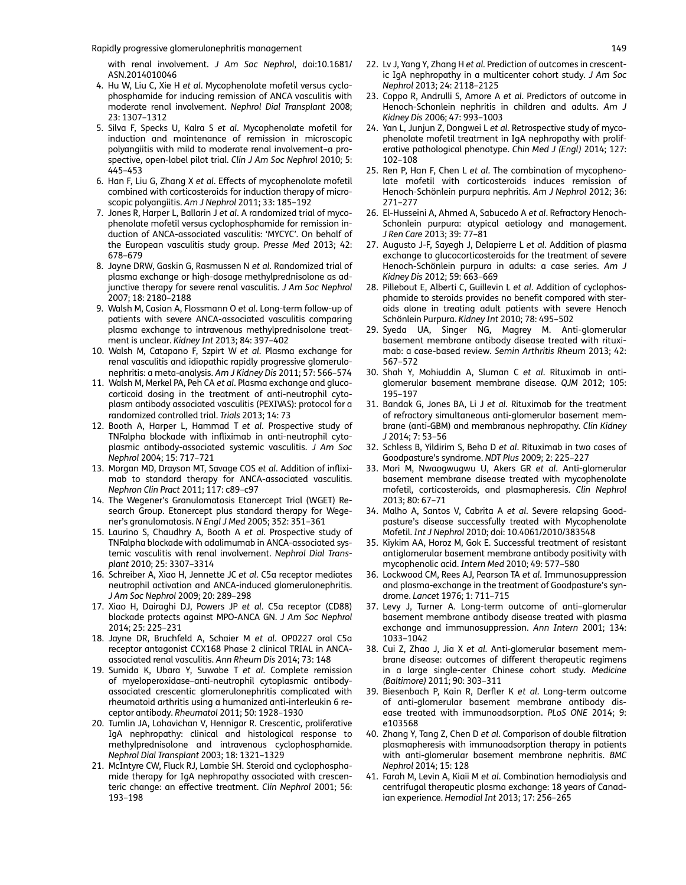<span id="page-6-0"></span>Rapidly progressive glomerulonephritis management 149

with renal involvement. J Am Soc Nephrol, doi:10.1681/ ASN.2014010046

- 4. Hu W, Liu C, Xie H et al. Mycophenolate mofetil versus cyclophosphamide for inducing remission of ANCA vasculitis with moderate renal involvement. Nephrol Dial Transplant 2008; 23: 1307–1312
- 5. Silva F, Specks U, Kalra S et al. Mycophenolate mofetil for induction and maintenance of remission in microscopic polyangiitis with mild to moderate renal involvement–a prospective, open-label pilot trial. Clin J Am Soc Nephrol 2010; 5: 445–453
- 6. Han F, Liu G, Zhang X et al. Effects of mycophenolate mofetil combined with corticosteroids for induction therapy of microscopic polyangiitis. Am J Nephrol 2011; 33: 185–192
- 7. Jones R, Harper L, Ballarin J et al. A randomized trial of mycophenolate mofetil versus cyclophosphamide for remission induction of ANCA-associated vasculitis: 'MYCYC'. On behalf of the European vasculitis study group. Presse Med 2013; 42: 678–679
- 8. Jayne DRW, Gaskin G, Rasmussen N et al. Randomized trial of plasma exchange or high-dosage methylprednisolone as adjunctive therapy for severe renal vasculitis. J Am Soc Nephrol 2007; 18: 2180–2188
- 9. Walsh M, Casian A, Flossmann O et al. Long-term follow-up of patients with severe ANCA-associated vasculitis comparing plasma exchange to intravenous methylprednisolone treatment is unclear. Kidney Int 2013; 84: 397–402
- 10. Walsh M, Catapano F, Szpirt W et al. Plasma exchange for renal vasculitis and idiopathic rapidly progressive glomerulonephritis: a meta-analysis. Am J Kidney Dis 2011; 57: 566–574
- 11. Walsh M, Merkel PA, Peh CA et al. Plasma exchange and glucocorticoid dosing in the treatment of anti-neutrophil cytoplasm antibody associated vasculitis (PEXIVAS): protocol for a randomized controlled trial. Trials 2013; 14: 73
- 12. Booth A, Harper L, Hammad T et al. Prospective study of TNFalpha blockade with infliximab in anti-neutrophil cytoplasmic antibody-associated systemic vasculitis. J Am Soc Nephrol 2004; 15: 717–721
- 13. Morgan MD, Drayson MT, Savage COS et al. Addition of infliximab to standard therapy for ANCA-associated vasculitis. Nephron Clin Pract 2011; 117: c89–c97
- 14. The Wegener's Granulomatosis Etanercept Trial (WGET) Research Group. Etanercept plus standard therapy for Wegener's granulomatosis. N Engl J Med 2005; 352: 351–361
- 15. Laurino S, Chaudhry A, Booth A et al. Prospective study of TNFalpha blockade with adalimumab in ANCA-associated systemic vasculitis with renal involvement. Nephrol Dial Transplant 2010; 25: 3307–3314
- 16. Schreiber A, Xiao H, Jennette JC et al. C5a receptor mediates neutrophil activation and ANCA-induced glomerulonephritis. J Am Soc Nephrol 2009; 20: 289–298
- 17. Xiao H, Dairaghi DJ, Powers JP et al. C5a receptor (CD88) blockade protects against MPO-ANCA GN. J Am Soc Nephrol 2014; 25: 225–231
- 18. Jayne DR, Bruchfeld A, Schaier M et al. OP0227 oral C5a receptor antagonist CCX168 Phase 2 clinical TRIAL in ANCAassociated renal vasculitis. Ann Rheum Dis 2014; 73: 148
- 19. Sumida K, Ubara Y, Suwabe T et al. Complete remission of myeloperoxidase–anti-neutrophil cytoplasmic antibodyassociated crescentic glomerulonephritis complicated with rheumatoid arthritis using a humanized anti-interleukin 6 receptor antibody. Rheumatol 2011; 50: 1928–1930
- 20. Tumlin JA, Lohavichan V, Hennigar R. Crescentic, proliferative IgA nephropathy: clinical and histological response to methylprednisolone and intravenous cyclophosphamide. Nephrol Dial Transplant 2003; 18: 1321–1329
- 21. McIntyre CW, Fluck RJ, Lambie SH. Steroid and cyclophosphamide therapy for IgA nephropathy associated with crescenteric change: an effective treatment. Clin Nephrol 2001; 56: 193–198
- 22. Lv J, Yang Y, Zhang H et al. Prediction of outcomes in crescentic IgA nephropathy in a multicenter cohort study. J Am Soc Nephrol 2013; 24: 2118–2125
- 23. Coppo R, Andrulli S, Amore A et al. Predictors of outcome in Henoch-Schonlein nephritis in children and adults. Am J Kidney Dis 2006; 47: 993–1003
- 24. Yan L, Junjun Z, Dongwei L et al. Retrospective study of mycophenolate mofetil treatment in IgA nephropathy with proliferative pathological phenotype. Chin Med J (Engl) 2014; 127: 102–108
- 25. Ren P, Han F, Chen L et al. The combination of mycophenolate mofetil with corticosteroids induces remission of Henoch-Schönlein purpura nephritis. Am J Nephrol 2012; 36: 271–277
- 26. El-Husseini A, Ahmed A, Sabucedo A et al. Refractory Henoch-Schonlein purpura: atypical aetiology and management. J Ren Care 2013; 39: 77–81
- 27. Augusto J-F, Sayegh J, Delapierre L et al. Addition of plasma exchange to glucocorticosteroids for the treatment of severe Henoch-Schönlein purpura in adults: a case series. Am J Kidney Dis 2012; 59: 663–669
- 28. Pillebout E, Alberti C, Guillevin L et al. Addition of cyclophosphamide to steroids provides no benefit compared with steroids alone in treating adult patients with severe Henoch Schönlein Purpura. Kidney Int 2010; 78: 495–502
- 29. Syeda UA, Singer NG, Magrey M. Anti-glomerular basement membrane antibody disease treated with rituximab: a case-based review. Semin Arthritis Rheum 2013; 42: 567–572
- 30. Shah Y, Mohiuddin A, Sluman C et al. Rituximab in antiglomerular basement membrane disease. QJM 2012; 105: 195–197
- 31. Bandak G, Jones BA, Li J et al. Rituximab for the treatment of refractory simultaneous anti-glomerular basement membrane (anti-GBM) and membranous nephropathy. Clin Kidney J 2014; 7: 53–56
- 32. Schless B, Yildirim S, Beha D et al. Rituximab in two cases of Goodpasture's syndrome. NDT Plus 2009; 2: 225–227
- 33. Mori M, Nwaogwugwu U, Akers GR et al. Anti-glomerular basement membrane disease treated with mycophenolate mofetil, corticosteroids, and plasmapheresis. Clin Nephrol 2013; 80: 67–71
- 34. Malho A, Santos V, Cabrita A et al. Severe relapsing Goodpasture's disease successfully treated with Mycophenolate Mofetil. Int J Nephrol 2010; doi: 10.4061/2010/383548
- 35. Kiykim AA, Horoz M, Gok E. Successful treatment of resistant antiglomerular basement membrane antibody positivity with mycophenolic acid. Intern Med 2010; 49: 577–580
- 36. Lockwood CM, Rees AJ, Pearson TA et al. Immunosuppression and plasma-exchange in the treatment of Goodpasture's syndrome. Lancet 1976; 1: 711–715
- 37. Levy J, Turner A. Long-term outcome of anti–glomerular basement membrane antibody disease treated with plasma exchange and immunosuppression. Ann Intern 2001; 134: 1033–1042
- 38. Cui Z, Zhao J, Jia X et al. Anti-glomerular basement membrane disease: outcomes of different therapeutic regimens in a large single-center Chinese cohort study. Medicine (Baltimore) 2011; 90: 303–311
- 39. Biesenbach P, Kain R, Derfler K et al. Long-term outcome of anti-glomerular basement membrane antibody disease treated with immunoadsorption. PLoS ONE 2014; 9: e103568
- 40. Zhang Y, Tang Z, Chen D et al. Comparison of double filtration plasmapheresis with immunoadsorption therapy in patients with anti-glomerular basement membrane nephritis. BMC Nephrol 2014; 15: 128
- 41. Farah M, Levin A, Kiaii M et al. Combination hemodialysis and centrifugal therapeutic plasma exchange: 18 years of Canadian experience. Hemodial Int 2013; 17: 256–265